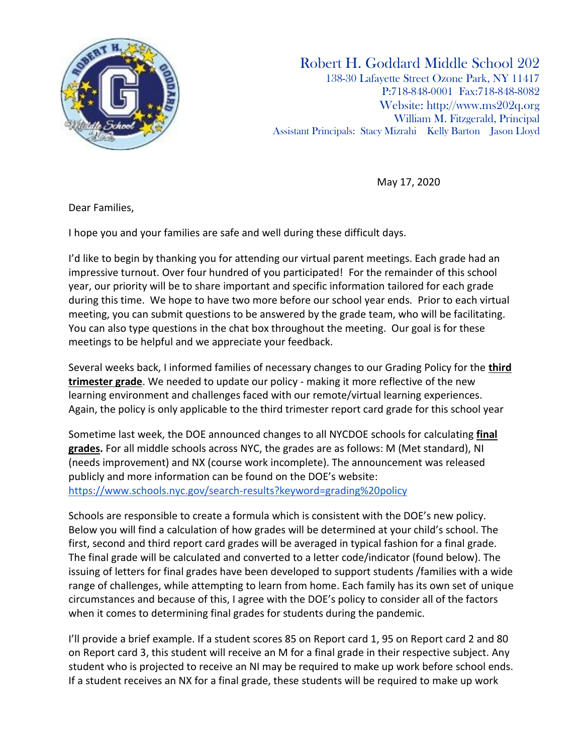

Robert H. Goddard Middle School 202 138-30 Lafayette Street Ozone Park, NY 11417 P:718-848-0001 Fax:718-848-8082 Website: [http://www.ms202q.org](http://www.ms202q.org/) William M. Fitzgerald, Principal Assistant Principals: Stacy Mizrahi Kelly Barton Jason Lloyd

May 17, 2020

Dear Families,

I hope you and your families are safe and well during these difficult days.

I'd like to begin by thanking you for attending our virtual parent meetings. Each grade had an impressive turnout. Over four hundred of you participated! For the remainder of this school year, our priority will be to share important and specific information tailored for each grade during this time. We hope to have two more before our school year ends. Prior to each virtual meeting, you can submit questions to be answered by the grade team, who will be facilitating. You can also type questions in the chat box throughout the meeting. Our goal is for these meetings to be helpful and we appreciate your feedback.

Several weeks back, I informed families of necessary changes to our Grading Policy for the **third trimester grade**. We needed to update our policy - making it more reflective of the new learning environment and challenges faced with our remote/virtual learning experiences. Again, the policy is only applicable to the third trimester report card grade for this school year

Sometime last week, the DOE announced changes to all NYCDOE schools for calculating **final grades.** For all middle schools across NYC, the grades are as follows: M (Met standard), NI (needs improvement) and NX (course work incomplete). The announcement was released publicly and more information can be found on the DOE's website[:](https://www.schools.nyc.gov/search-results?keyword=grading%20policy) <https://www.schools.nyc.gov/search-results?keyword=grading%20policy>

Schools are responsible to create a formula which is consistent with the DOE's new policy. Below you will find a calculation of how grades will be determined at your child's school. The first, second and third report card grades will be averaged in typical fashion for a final grade. The final grade will be calculated and converted to a letter code/indicator (found below). The issuing of letters for final grades have been developed to support students /families with a wide range of challenges, while attempting to learn from home. Each family has its own set of unique circumstances and because of this, I agree with the DOE's policy to consider all of the factors when it comes to determining final grades for students during the pandemic.

I'll provide a brief example. If a student scores 85 on Report card 1, 95 on Report card 2 and 80 on Report card 3, this student will receive an M for a final grade in their respective subject. Any student who is projected to receive an NI may be required to make up work before school ends. If a student receives an NX for a final grade, these students will be required to make up work